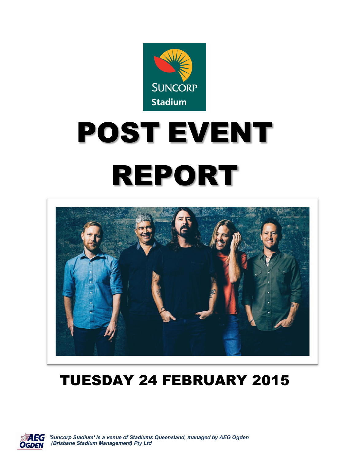

# POST EVENT REPORT



# TUESDAY 24 FEBRUARY 2015



 *'Suncorp Stadium' is a venue of Stadiums Queensland, managed by AEG Ogden (Brisbane Stadium Management) Pty Ltd*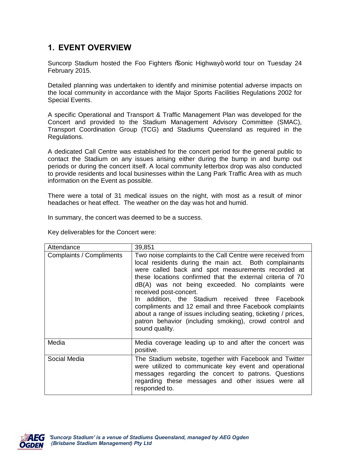### **1. EVENT OVERVIEW**

Suncorp Stadium hosted the Foo Fighters % onic Highway+ world tour on Tuesday 24 February 2015.

Detailed planning was undertaken to identify and minimise potential adverse impacts on the local community in accordance with the Major Sports Facilities Regulations 2002 for Special Events.

A specific Operational and Transport & Traffic Management Plan was developed for the Concert and provided to the Stadium Management Advisory Committee (SMAC), Transport Coordination Group (TCG) and Stadiums Queensland as required in the Regulations.

A dedicated Call Centre was established for the concert period for the general public to contact the Stadium on any issues arising either during the bump in and bump out periods or during the concert itself. A local community letterbox drop was also conducted to provide residents and local businesses within the Lang Park Traffic Area with as much information on the Event as possible.

There were a total of 31 medical issues on the night, with most as a result of minor headaches or heat effect. The weather on the day was hot and humid.

In summary, the concert was deemed to be a success.

Key deliverables for the Concert were:

| Attendance               | 39,851                                                                                                                                                                                                                                                                                                                                                                                                                                                                                                                                                                             |
|--------------------------|------------------------------------------------------------------------------------------------------------------------------------------------------------------------------------------------------------------------------------------------------------------------------------------------------------------------------------------------------------------------------------------------------------------------------------------------------------------------------------------------------------------------------------------------------------------------------------|
| Complaints / Compliments | Two noise complaints to the Call Centre were received from<br>local residents during the main act. Both complainants<br>were called back and spot measurements recorded at<br>these locations confirmed that the external criteria of 70<br>dB(A) was not being exceeded. No complaints were<br>received post-concert.<br>In addition, the Stadium received three Facebook<br>compliments and 12 email and three Facebook complaints<br>about a range of issues including seating, ticketing / prices,<br>patron behavior (including smoking), crowd control and<br>sound quality. |
| Media                    | Media coverage leading up to and after the concert was<br>positive.                                                                                                                                                                                                                                                                                                                                                                                                                                                                                                                |
| Social Media             | The Stadium website, together with Facebook and Twitter<br>were utilized to communicate key event and operational<br>messages regarding the concert to patrons. Questions<br>regarding these messages and other issues were all<br>responded to.                                                                                                                                                                                                                                                                                                                                   |

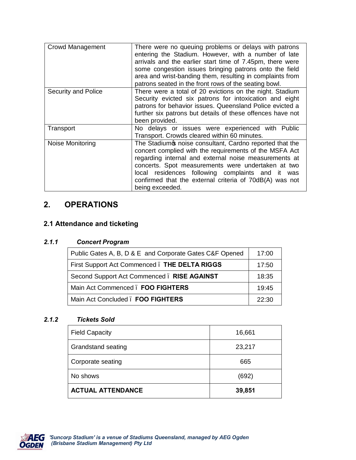| <b>Crowd Management</b> | There were no queuing problems or delays with patrons<br>entering the Stadium. However, with a number of late<br>arrivals and the earlier start time of 7.45pm, there were<br>some congestion issues bringing patrons onto the field<br>area and wrist-banding them, resulting in complaints from<br>patrons seated in the front rows of the seating bowl.           |
|-------------------------|----------------------------------------------------------------------------------------------------------------------------------------------------------------------------------------------------------------------------------------------------------------------------------------------------------------------------------------------------------------------|
| Security and Police     | There were a total of 20 evictions on the night. Stadium<br>Security evicted six patrons for intoxication and eight<br>patrons for behavior issues. Queensland Police evicted a<br>further six patrons but details of these offences have not<br>been provided.                                                                                                      |
| Transport               | No delays or issues were experienced with Public<br>Transport. Crowds cleared within 60 minutes.                                                                                                                                                                                                                                                                     |
| Noise Monitoring        | The Stadium is noise consultant, Cardno reported that the<br>concert complied with the requirements of the MSFA Act<br>regarding internal and external noise measurements at<br>concerts. Spot measurements were undertaken at two<br>local residences following complaints and it was<br>confirmed that the external criteria of 70dB(A) was not<br>being exceeded. |

## **2. OPERATIONS**

#### **2.1 Attendance and ticketing**

#### *2.1.1 Concert Program*

| Public Gates A, B, D & E and Corporate Gates C&F Opened | 17:00 |
|---------------------------------------------------------|-------|
| First Support Act Commenced. THE DELTA RIGGS            | 17:50 |
| Second Support Act Commenced. RISE AGAINST              | 18:35 |
| Main Act Commenced . FOO FIGHTERS                       | 19.45 |
| Main Act Concluded . FOO FIGHTERS                       | 22.30 |

#### *2.1.2 Tickets Sold*

| <b>Field Capacity</b>     | 16,661 |
|---------------------------|--------|
| <b>Grandstand seating</b> | 23,217 |
| Corporate seating         | 665    |
| No shows                  | (692)  |
| <b>ACTUAL ATTENDANCE</b>  | 39,851 |

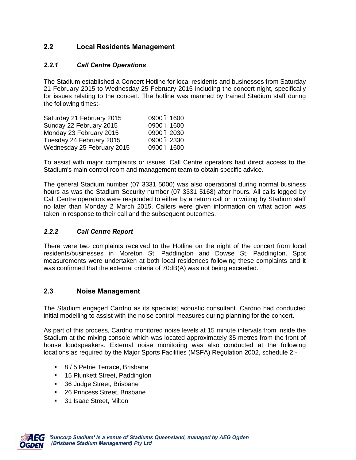#### **2.2 Local Residents Management**

#### *2.2.1 Call Centre Operations*

The Stadium established a Concert Hotline for local residents and businesses from Saturday 21 February 2015 to Wednesday 25 February 2015 including the concert night, specifically for issues relating to the concert. The hotline was manned by trained Stadium staff during the following times:-

| Saturday 21 February 2015  | 0900, 1600 |
|----------------------------|------------|
| Sunday 22 February 2015    | 0900.1600  |
| Monday 23 February 2015    | 0900.2030  |
| Tuesday 24 February 2015   | 0900.2330  |
| Wednesday 25 February 2015 | 0900, 1600 |

To assist with major complaints or issues, Call Centre operators had direct access to the Stadium's main control room and management team to obtain specific advice.

The general Stadium number (07 3331 5000) was also operational during normal business hours as was the Stadium Security number (07 3331 5168) after hours. All calls logged by Call Centre operators were responded to either by a return call or in writing by Stadium staff no later than Monday 2 March 2015. Callers were given information on what action was taken in response to their call and the subsequent outcomes.

#### *2.2.2 Call Centre Report*

There were two complaints received to the Hotline on the night of the concert from local residents/businesses in Moreton St, Paddington and Dowse St, Paddington. Spot measurements were undertaken at both local residences following these complaints and it was confirmed that the external criteria of 70dB(A) was not being exceeded.

#### **2.3 Noise Management**

The Stadium engaged Cardno as its specialist acoustic consultant. Cardno had conducted initial modelling to assist with the noise control measures during planning for the concert.

As part of this process, Cardno monitored noise levels at 15 minute intervals from inside the Stadium at the mixing console which was located approximately 35 metres from the front of house loudspeakers. External noise monitoring was also conducted at the following locations as required by the Major Sports Facilities (MSFA) Regulation 2002, schedule 2:-

- 8 / 5 Petrie Terrace, Brisbane
- **15 Plunkett Street, Paddington**
- **36 Judge Street, Brisbane**
- 26 Princess Street, Brisbane
- **31 Isaac Street, Milton**

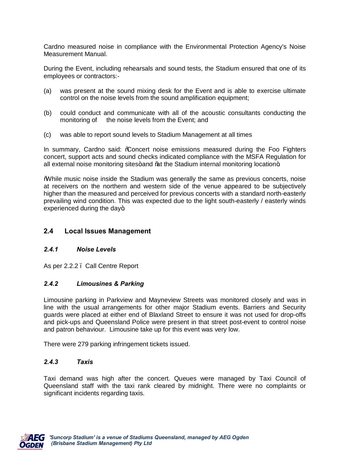Cardno measured noise in compliance with the Environmental Protection Agency's Noise Measurement Manual.

During the Event, including rehearsals and sound tests, the Stadium ensured that one of its employees or contractors:-

- (a) was present at the sound mixing desk for the Event and is able to exercise ultimate control on the noise levels from the sound amplification equipment;
- (b) could conduct and communicate with all of the acoustic consultants conducting the monitoring of the noise levels from the Event; and
- (c) was able to report sound levels to Stadium Management at all times

In summary, Cardno said: *%*Concert noise emissions measured during the Foo Fighters concert, support acts and sound checks indicated compliance with the MSFA Regulation for all external noise monitoring sites+and % at the Stadium internal monitoring location $+$ 

"While music noise inside the Stadium was generally the same as previous concerts, noise at receivers on the northern and western side of the venue appeared to be subjectively higher than the measured and perceived for previous concerts with a standard north-easterly prevailing wind condition. This was expected due to the light south-easterly / easterly winds experienced during the day $+$ 

#### **2.4 Local Issues Management**

#### *2.4.1 Noise Levels*

As per 2.2.2 – Call Centre Report

#### *2.4.2 Limousines & Parking*

Limousine parking in Parkview and Mayneview Streets was monitored closely and was in line with the usual arrangements for other major Stadium events. Barriers and Security guards were placed at either end of Blaxland Street to ensure it was not used for drop-offs and pick-ups and Queensland Police were present in that street post-event to control noise and patron behaviour. Limousine take up for this event was very low.

There were 279 parking infringement tickets issued.

#### *2.4.3 Taxis*

Taxi demand was high after the concert. Queues were managed by Taxi Council of Queensland staff with the taxi rank cleared by midnight. There were no complaints or significant incidents regarding taxis.